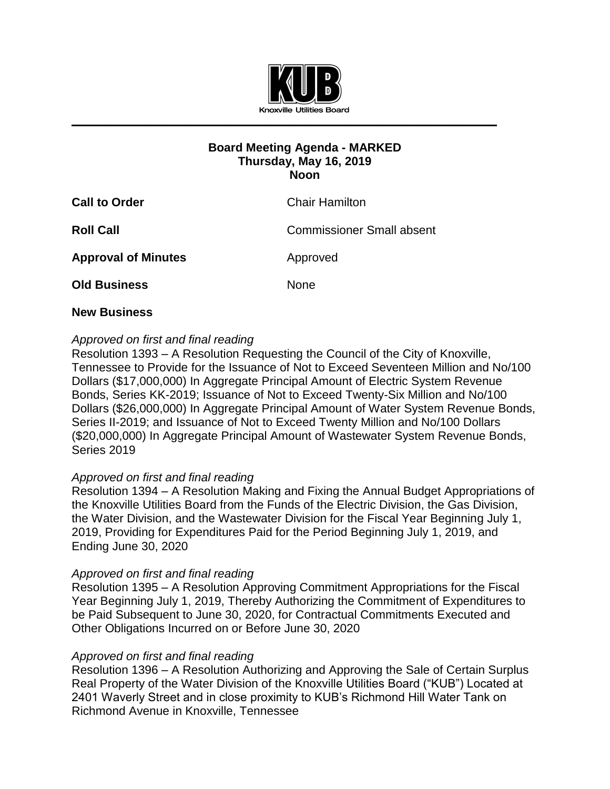

## **Board Meeting Agenda - MARKED Thursday, May 16, 2019 Noon**

| <b>Call to Order</b>       | <b>Chair Hamilton</b>            |
|----------------------------|----------------------------------|
| <b>Roll Call</b>           | <b>Commissioner Small absent</b> |
| <b>Approval of Minutes</b> | Approved                         |
| <b>Old Business</b>        | None                             |

### **New Business**

# *Approved on first and final reading*

Resolution 1393 – A Resolution Requesting the Council of the City of Knoxville, Tennessee to Provide for the Issuance of Not to Exceed Seventeen Million and No/100 Dollars (\$17,000,000) In Aggregate Principal Amount of Electric System Revenue Bonds, Series KK-2019; Issuance of Not to Exceed Twenty-Six Million and No/100 Dollars (\$26,000,000) In Aggregate Principal Amount of Water System Revenue Bonds, Series II-2019; and Issuance of Not to Exceed Twenty Million and No/100 Dollars (\$20,000,000) In Aggregate Principal Amount of Wastewater System Revenue Bonds, Series 2019

## *Approved on first and final reading*

Resolution 1394 – A Resolution Making and Fixing the Annual Budget Appropriations of the Knoxville Utilities Board from the Funds of the Electric Division, the Gas Division, the Water Division, and the Wastewater Division for the Fiscal Year Beginning July 1, 2019, Providing for Expenditures Paid for the Period Beginning July 1, 2019, and Ending June 30, 2020

## *Approved on first and final reading*

Resolution 1395 – A Resolution Approving Commitment Appropriations for the Fiscal Year Beginning July 1, 2019, Thereby Authorizing the Commitment of Expenditures to be Paid Subsequent to June 30, 2020, for Contractual Commitments Executed and Other Obligations Incurred on or Before June 30, 2020

#### *Approved on first and final reading*

Resolution 1396 – A Resolution Authorizing and Approving the Sale of Certain Surplus Real Property of the Water Division of the Knoxville Utilities Board ("KUB") Located at 2401 Waverly Street and in close proximity to KUB's Richmond Hill Water Tank on Richmond Avenue in Knoxville, Tennessee